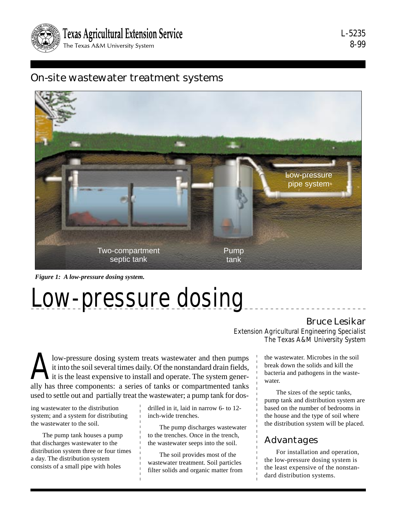

L-5235 8-99

## On-site wastewater treatment systems



*Figure 1: A low-pressure dosing system.*

# Low-pressure dosing

#### Bruce Lesikar

Extension Agricultural Engineering Specialist The Texas A&M University System

Iow-pressure dosing system treats wastewater and then pumps<br>it into the soil several times daily. Of the nonstandard drain fields,<br>it is the least expensive to install and operate. The system gener-<br>ally has three componen it into the soil several times daily. Of the nonstandard drain fields, it is the least expensive to install and operate. The system generally has three components: a series of tanks or compartmented tanks used to settle out and partially treat the wastewater; a pump tank for dos-

ing wastewater to the distribution system; and a system for distributing the wastewater to the soil.

The pump tank houses a pump that discharges wastewater to the distribution system three or four times a day. The distribution system consists of a small pipe with holes

drilled in it, laid in narrow 6- to 12 inch-wide trenches.

The pump discharges wastewater to the trenches. Once in the trench, the wastewater seeps into the soil.

The soil provides most of the wastewater treatment. Soil particles filter solids and organic matter from the wastewater. Microbes in the soil break down the solids and kill the bacteria and pathogens in the wastewater.

The sizes of the septic tanks, pump tank and distribution system are based on the number of bedrooms in the house and the type of soil where the distribution system will be placed.

## Advantages

For installation and operation, the low-pressure dosing system is the least expensive of the nonstandard distribution systems.